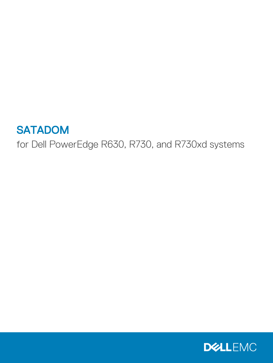## **SATADOM**

for Dell PowerEdge R630, R730, and R730xd systems

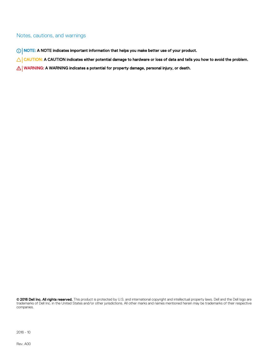#### Notes, cautions, and warnings

- NOTE: A NOTE indicates important information that helps you make better use of your product.
- A CAUTION: A CAUTION indicates either potential damage to hardware or loss of data and tells you how to avoid the problem.
- $\triangle$  WARNING: A WARNING indicates a potential for property damage, personal injury, or death.

**©** 2016 Dell Inc. All rights reserved. This product is protected by U.S. and international copyright and intellectual property laws. Dell and the Dell logo are trademarks of Dell Inc. in the United States and/or other jurisdictions. All other marks and names mentioned herein may be trademarks of their respective companies.

2016 - 10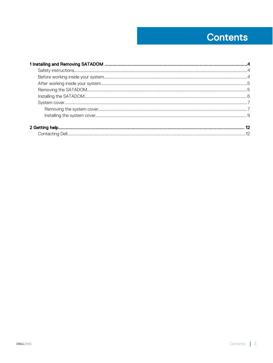## **Contents**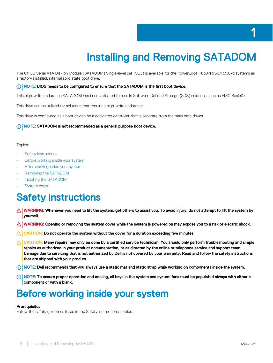# Installing and Removing SATADOM

<span id="page-3-0"></span>The 64 GB Serial ATA Disk on Module (SATADOM) Single-level cell (SLC) is available for the PowerEdge R630/R730/R730xd systems as a factory installed, internal solid state boot drive.

#### (i) NOTE: BIOS needs to be configured to ensure that the SATADOM is the first boot device.

This high-write endurance SATADOM has been validated for use in Software Defined Storage (SDS) solutions such as EMC ScaleIO.

This drive can be utilized for solutions that require a high-write endurance.

This drive is configured as a boot device on a dedicated controller that is separate from the main data drives.

#### NOTE: SATADOM is not recommended as a general purpose boot device.

#### Topics:

- **Safety instructions**
- Before working inside your system
- [After working inside your system](#page-4-0)
- [Removing the SATADOM](#page-4-0)
- [Installing the SATADOM](#page-5-0)
- [System cover](#page-6-0)

### Safety instructions

- $\triangle|$  WARNING: Whenever you need to lift the system, get others to assist you. To avoid injury, do not attempt to lift the system by yourself.
- WARNING: Opening or removing the system cover while the system is powered on may expose you to a risk of electric shock.
- $\wedge$  CAUTION: Do not operate the system without the cover for a duration exceeding five minutes.
- $\triangle|$  CAUTION: Many repairs may only be done by a certified service technician. You should only perform troubleshooting and simple repairs as authorized in your product documentation, or as directed by the online or telephone service and support team. Damage due to servicing that is not authorized by Dell is not covered by your warranty. Read and follow the safety instructions that are shipped with your product.
- $\cap$  NOTE: Dell recommends that you always use a static mat and static strap while working on components inside the system.
- $\cap$  NOTE: To ensure proper operation and cooling, all bays in the system and system fans must be populated always with either a component or with a blank.

### Before working inside your system

#### **Prerequisites**

Follow the safety guidelines listed in the Safety instructions section.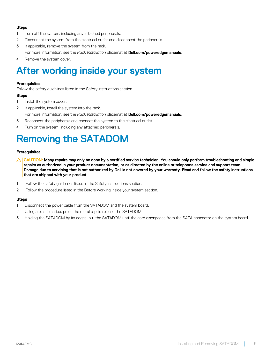#### <span id="page-4-0"></span>Steps

- 1 Turn off the system, including any attached peripherals.
- 2 Disconnect the system from the electrical outlet and disconnect the peripherals.
- 3 If applicable, remove the system from the rack.
	- For more information, see the *Rack Installation* placemat at **Dell.com/poweredgemanuals**.
- 4 Remove the system cover.

### After working inside your system

#### **Prerequisites**

Follow the safety guidelines listed in the Safety instructions section.

#### Steps

- 1 Install the system cover.
- 2 If applicable, install the system into the rack.

For more information, see the *Rack Installation* placemat at **Dell.com/poweredgemanuals**.

- 3 Reconnect the peripherals and connect the system to the electrical outlet.
- 4 Turn on the system, including any attached peripherals.

## Removing the SATADOM

#### **Prerequisites**

- $\triangle$  CAUTION: Many repairs may only be done by a certified service technician. You should only perform troubleshooting and simple repairs as authorized in your product documentation, or as directed by the online or telephone service and support team. Damage due to servicing that is not authorized by Dell is not covered by your warranty. Read and follow the safety instructions that are shipped with your product.
- 1 Follow the safety guidelines listed in the Safety instructions section.
- 2 Follow the procedure listed in the Before working inside your system section.

#### **Steps**

- 1 Disconnect the power cable from the SATADOM and the system board.
- 2 Using a plastic scribe, press the metal clip to release the SATADOM.
- 3 Holding the SATADOM by its edges, pull the SATADOM until the card disengages from the SATA connector on the system board.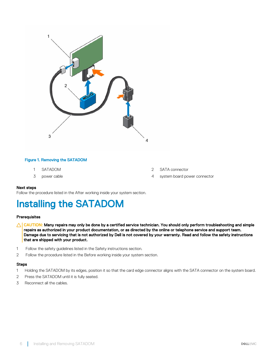<span id="page-5-0"></span>

#### Figure 1. Removing the SATADOM

- 
- 
- 1 SATADOM 2 SATA connector
- 3 power cable 4 system board power connector

#### Next steps

Follow the procedure listed in the After working inside your system section.

### Installing the SATADOM

#### **Prerequisites**

- $\wedge$  CAUTION: Many repairs may only be done by a certified service technician. You should only perform troubleshooting and simple repairs as authorized in your product documentation, or as directed by the online or telephone service and support team. Damage due to servicing that is not authorized by Dell is not covered by your warranty. Read and follow the safety instructions that are shipped with your product.
- 1 Follow the safety guidelines listed in the Safety instructions section.
- 2 Follow the procedure listed in the Before working inside your system section.

#### Steps

- 1 Holding the SATADOM by its edges, position it so that the card edge connector aligns with the SATA connector on the system board.
- 2 Press the SATADOM until it is fully seated.
- 3 Reconnect all the cables.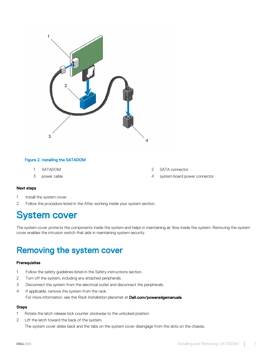<span id="page-6-0"></span>

#### Figure 2. Installing the SATADOM

- 
- 
- 1 SATADOM 2 SATA connector
- 3 power cable 4 system board power connector

#### Next steps

- 1 Install the system cover.
- 2 Follow the procedure listed in the After working inside your system section.

### System cover

The system cover protects the components inside the system and helps in maintaining air flow inside the system. Removing the system cover enables the intrusion switch that aids in maintaining system security.

### Removing the system cover

#### **Prerequisites**

- 1 Follow the safety guidelines listed in the Safety instructions section.
- 2 Turn off the system, including any attached peripherals.
- 3 Disconnect the system from the electrical outlet and disconnect the peripherals.
- 4 If applicable, remove the system from the rack. For more information, see the *Rack Installation* placemat at **Dell.com/poweredgemanuals**.

#### **Steps**

- 1 Rotate the latch release lock counter clockwise to the unlocked position.
- 2 Lift the latch toward the back of the system.

The system cover slides back and the tabs on the system cover disengage from the slots on the chassis.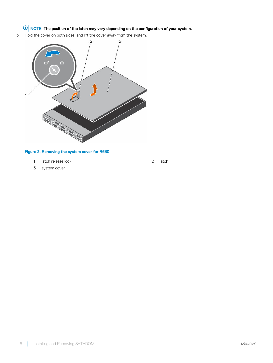### $\bigcirc \vert$  NOTE: The position of the latch may vary depending on the configuration of your system.

3 Hold the cover on both sides, and lift the cover away from the system.



#### Figure 3. Removing the system cover for R630

- 1 latch release lock 2 latch
- 3 system cover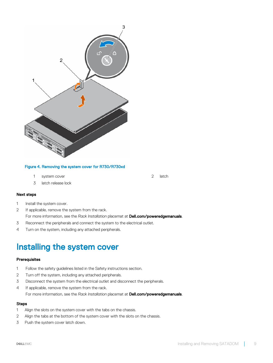<span id="page-8-0"></span>

#### Figure 4. Removing the system cover for R730/R730xd

- 1 system cover 2 latch
- 3 latch release lock

#### Next steps

- 1 Install the system cover.
- 2 If applicable, remove the system from the rack. For more information, see the *Rack Installation* placemat at **Dell.com/poweredgemanuals**.
- 3 Reconnect the peripherals and connect the system to the electrical outlet.
- 4 Turn on the system, including any attached peripherals.

### Installing the system cover

#### **Prerequisites**

- 1 Follow the safety guidelines listed in the Safety instructions section.
- 2 Turn off the system, including any attached peripherals.
- 3 Disconnect the system from the electrical outlet and disconnect the peripherals.
- 4 If applicable, remove the system from the rack. For more information, see the *Rack Installation* placemat at **Dell.com/poweredgemanuals**.

#### **Steps**

- 1 Align the slots on the system cover with the tabs on the chassis.
- 2 Align the tabs at the bottom of the system cover with the slots on the chassis.
- 3 Push the system cover latch down.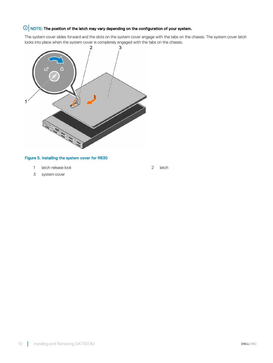### $\bigcirc$  NOTE: The position of the latch may vary depending on the configuration of your system.

The system cover slides forward and the slots on the system cover engage with the tabs on the chassis. The system cover latch locks into place when the system cover is completely engaged with the tabs on the chassis.



#### Figure 5. Installing the system cover for R630

- 1 latch release lock 2 latch
- 3 system cover

10 | Installing and Removing SATADOM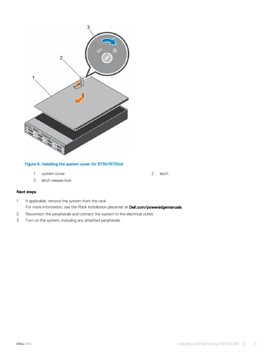

#### Figure 6. Installing the system cover for R730/R730xd

- 1 system cover 2 latch
- 3 latch release lock

#### Next steps

- 1 If applicable, remove the system from the rack. For more information, see the *Rack Installation* placemat at **Dell.com/poweredgemanuals**.
- 2 Reconnect the peripherals and connect the system to the electrical outlet.
- 3 Turn on the system, including any attached peripherals.